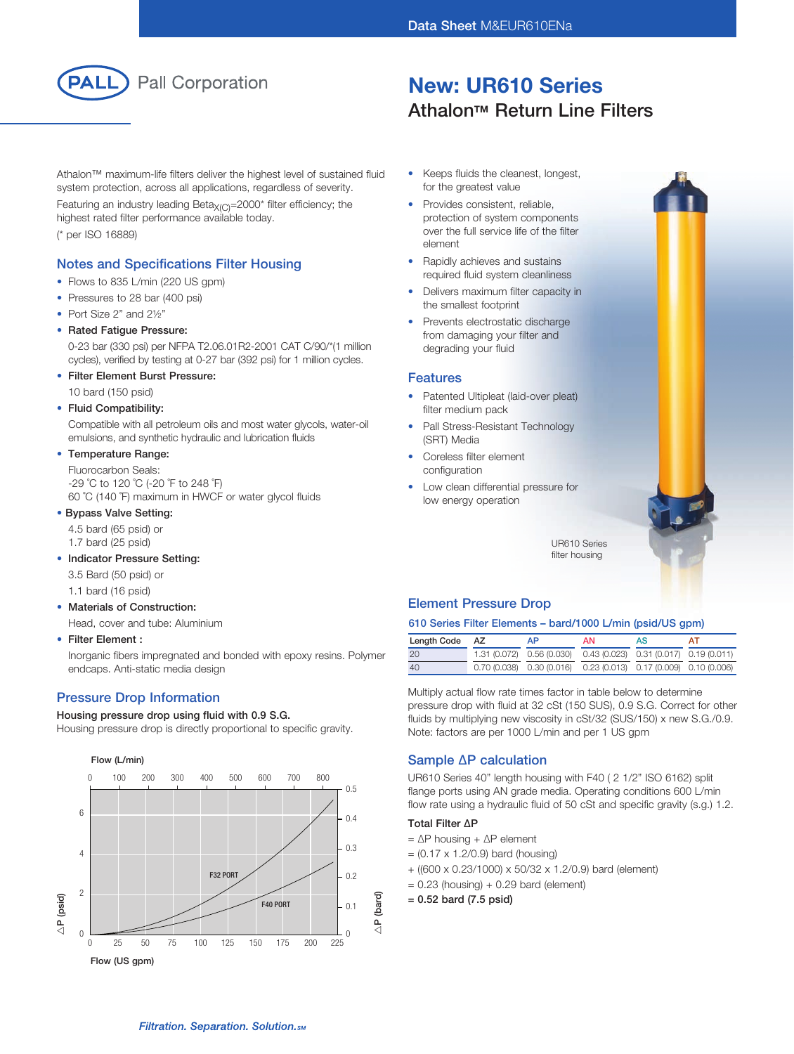

# New: UR610 Series **Athalon™ Return Line Filters**

Athalon™ maximum-life filters deliver the highest level of sustained fluid system protection, across all applications, regardless of severity.

Featuring an industry leading Beta $X_{(C)}$ =2000\* filter efficiency; the highest rated filter performance available today. (\* per ISO 16889)

## Notes and Specifications Filter Housing

- Flows to 835 L/min (220 US gpm)
- Pressures to 28 bar (400 psi)
- Port Size 2" and 21/2"
- Rated Fatigue Pressure:

 0-23 bar (330 psi) per NFPA T2.06.01R2-2001 CAT C/90/\*(1 million cycles), verified by testing at 0-27 bar (392 psi) for 1 million cycles.

• Filter Element Burst Pressure:

10 bard (150 psid)

• Fluid Compatibility:

 Compatible with all petroleum oils and most water glycols, water-oil emulsions, and synthetic hydraulic and lubrication fluids

### • Temperature Range:

 Fluorocarbon Seals: -29 ˚C to 120 ˚C (-20 ˚F to 248 ˚F) 60 ˚C (140 ˚F) maximum in HWCF or water glycol fluids

#### • Bypass Valve Setting:

4.5 bard (65 psid) or

- 1.7 bard (25 psid)
- Indicator Pressure Setting:

3.5 Bard (50 psid) or

1.1 bard (16 psid)

### • Materials of Construction:

Head, cover and tube: Aluminium

### • Filter Element :

 Inorganic fibers impregnated and bonded with epoxy resins. Polymer endcaps. Anti-static media design

## Pressure Drop Information

#### Housing pressure drop using fluid with 0.9 S.G.

Housing pressure drop is directly proportional to specific gravity.



- Keeps fluids the cleanest, longest, for the greatest value
- Provides consistent, reliable, protection of system components over the full service life of the filter element
- Rapidly achieves and sustains required fluid system cleanliness
- Delivers maximum filter capacity in the smallest footprint
- Prevents electrostatic discharge from damaging your filter and degrading your fluid

#### Features

- Patented Ultipleat (laid-over pleat) filter medium pack
- Pall Stress-Resistant Technology (SRT) Media
- Coreless filter element configuration
- Low clean differential pressure for low energy operation

UR610 Series filter housing

## Element Pressure Drop

### 610 Series Filter Elements – bard/1000 L/min (psid/US gpm)

| Length Code | AZ | ΔP                                                                    | ΑN | AS |  |
|-------------|----|-----------------------------------------------------------------------|----|----|--|
| 20          |    | 1.31 (0.072) 0.56 (0.030) 0.43 (0.023) 0.31 (0.017) 0.19 (0.011)      |    |    |  |
| 40          |    | $0.70(0.038)$ $0.30(0.016)$ $0.23(0.013)$ $0.17(0.009)$ $0.10(0.006)$ |    |    |  |

Multiply actual flow rate times factor in table below to determine pressure drop with fluid at 32 cSt (150 SUS), 0.9 S.G. Correct for other fluids by multiplying new viscosity in cSt/32 (SUS/150) x new S.G./0.9. Note: factors are per 1000 L/min and per 1 US gpm

## Sample ∆P calculation

UR610 Series 40" length housing with F40 ( 2 1/2" ISO 6162) split flange ports using AN grade media. Operating conditions 600 L/min flow rate using a hydraulic fluid of 50 cSt and specific gravity (s.g.) 1.2.

## Total Filter ∆P

- = ∆P housing + ∆P element
- $= (0.17 \times 1.2/0.9)$  bard (housing)
- + ((600 x 0.23/1000) x 50/32 x 1.2/0.9) bard (element) 0.25
- $= 0.23$  (housing)  $+ 0.29$  bard (element)
- = 0.52 bard (7.5 psid)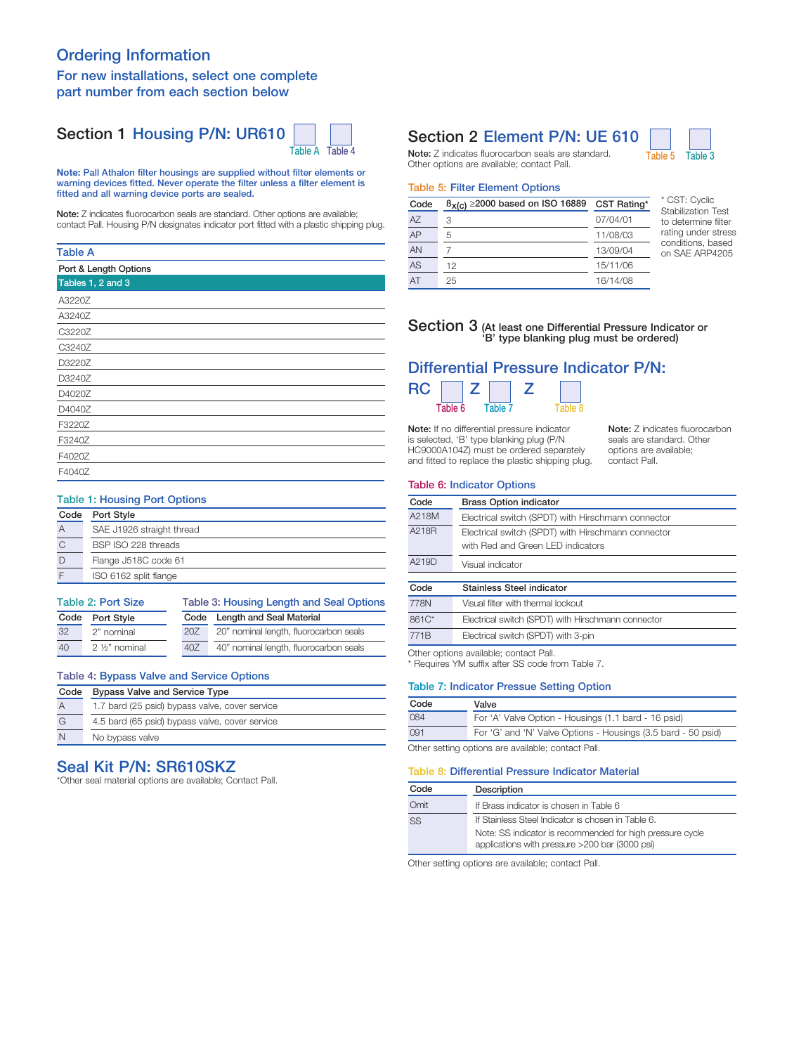# Ordering Information

## For new installations, select one complete part number from each section below

# Section 1 Housing P/N: UR610



Note: Pall Athalon filter housings are supplied without filter elements or warning devices fitted. Never operate the filter unless a filter element is fitted and all warning device ports are sealed.

Note: Z indicates fluorocarbon seals are standard. Other options are available; contact Pall. Housing P/N designates indicator port fitted with a plastic shipping plug.

### Table A

| Port & Length Options |
|-----------------------|
| Tables 1, 2 and 3     |
| A3220Z                |
| A3240Z                |
| C3220Z                |
| C3240Z                |
| D3220Z                |
| D3240Z                |
| D4020Z                |
| D4040Z                |
| F3220Z                |
| F3240Z                |
| F4020Z                |
| F4040Z                |

### Table 1: Housing Port Options

| Code | Port Style                |
|------|---------------------------|
| А    | SAE J1926 straight thread |
|      | BSP ISO 228 threads       |
|      | Flange J518C code 61      |
|      | ISO 6162 split flange     |

| Table 2: Port Size |                        |      | Table 3: Housing Length and Seal Options |  |  |
|--------------------|------------------------|------|------------------------------------------|--|--|
| Code               | Port Style             | Code | Length and Seal Material                 |  |  |
| 32                 | 2" nominal             | 20Z  | 20" nominal length, fluorocarbon seals   |  |  |
| 40                 | $2\frac{1}{2}$ nominal | 40Z  | 40" nominal length, fluorocarbon seals   |  |  |
|                    |                        |      |                                          |  |  |

## Table 4: Bypass Valve and Service Options

| Code           | <b>Bypass Valve and Service Type</b>           |
|----------------|------------------------------------------------|
| $\overline{A}$ | 1.7 bard (25 psid) bypass valve, cover service |
| G              | 4.5 bard (65 psid) bypass valve, cover service |
| N              | No bypass valve                                |

# Seal Kit P/N: SR610SKZ

\*Other seal material options are available; Contact Pall.

# Section 2 Element P/N: UE 610

Note: Z indicates fluorocarbon seals are standard. Table 5 Table 3 Other options are available; contact Pall.

### Table 5: Filter Element Options

| Code | $\beta_{X(C)} \ge 2000$ based on ISO 16889 | CST Rating* |
|------|--------------------------------------------|-------------|
| AZ   | 3                                          | 07/04/01    |
| AP   | 5                                          | 11/08/03    |
| AN   |                                            | 13/09/04    |
| AS   | 12                                         | 15/11/06    |
| AT   | 25                                         | 16/14/08    |

\* CST: Cyclic Stabilization Test to determine filter rating under stress conditions, based on SAE ARP4205

# Section 3 (At least one Differential Pressure Indicator or 'B' type blanking plug must be ordered)

# Differential Pressure Indicator P/N:

| <b>RC</b> |         |         |  |
|-----------|---------|---------|--|
|           | Table 6 | Table 7 |  |

Note: If no differential pressure indicator is selected, 'B' type blanking plug (P/N HC9000A104Z) must be ordered separately and fitted to replace the plastic shipping plug.

Note: Z indicates fluorocarbon seals are standard. Other options are available; contact Pall.

### Table 6: Indicator Options

| Code  | <b>Brass Option indicator</b>                      |  |
|-------|----------------------------------------------------|--|
| A218M | Electrical switch (SPDT) with Hirschmann connector |  |
| A218R | Electrical switch (SPDT) with Hirschmann connector |  |
|       | with Red and Green LED indicators                  |  |
| A219D | Visual indicator                                   |  |
| Code  | Stainless Steel indicator                          |  |
|       |                                                    |  |
| 778N  | Visual filter with thermal lockout                 |  |
| 861C* | Electrical switch (SPDT) with Hirschmann connector |  |

Other options available; contact Pall. 771B Electrical switch (SPDT) with 3-pin

\* Requires YM suffix after SS code from Table 7.

#### Table 7: Indicator Pressue Setting Option

| Code | Valve                                                         |
|------|---------------------------------------------------------------|
| 084  | For 'A' Valve Option - Housings (1.1 bard - 16 psid)          |
| 091  | For 'G' and 'N' Valve Options - Housings (3.5 bard - 50 psid) |
|      | Other setting options are available: contact Pall.            |

Other setting options are available; contact Pall.

### Table 8: Differential Pressure Indicator Material

| Code | Description                                                                                                 |  |
|------|-------------------------------------------------------------------------------------------------------------|--|
| Omit | If Brass indicator is chosen in Table 6                                                                     |  |
| SS   | If Stainless Steel Indicator is chosen in Table 6.                                                          |  |
|      | Note: SS indicator is recommended for high pressure cycle<br>applications with pressure >200 bar (3000 psi) |  |

Other setting options are available; contact Pall.